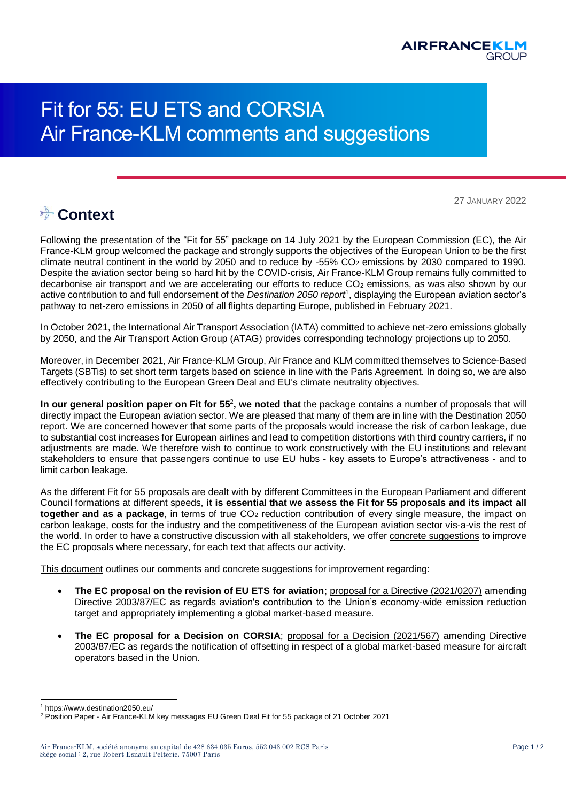

## Fit for 55: EU ETS and CORSIA Air France-KLM comments and suggestions

27 JANUARY 2022

## **Ext** Context

Following the presentation of the "Fit for 55" package on 14 July 2021 by the European Commission (EC), the Air France-KLM group welcomed the package and strongly supports the objectives of the European Union to be the first climate neutral continent in the world by 2050 and to reduce by  $-55\%$  CO<sub>2</sub> emissions by 2030 compared to 1990. Despite the aviation sector being so hard hit by the COVID-crisis, Air France-KLM Group remains fully committed to decarbonise air transport and we are accelerating our efforts to reduce  $CO<sub>2</sub>$  emissions, as was also shown by our active contribution to and full endorsement of the *Destination 2050 report*<sup>1</sup> , displaying the European aviation sector's pathway to net-zero emissions in 2050 of all flights departing Europe, published in February 2021.

In October 2021, the International Air Transport Association (IATA) committed to achieve net-zero emissions globally by 2050, and the Air Transport Action Group (ATAG) provides corresponding technology projections up to 2050.

Moreover, in December 2021, Air France-KLM Group, Air France and KLM committed themselves to Science-Based Targets (SBTis) to set short term targets based on science in line with the Paris Agreement. In doing so, we are also effectively contributing to the European Green Deal and EU's climate neutrality objectives.

In our general position paper on Fit for 55<sup>2</sup>, we noted that the package contains a number of proposals that will directly impact the European aviation sector. We are pleased that many of them are in line with the Destination 2050 report. We are concerned however that some parts of the proposals would increase the risk of carbon leakage, due to substantial cost increases for European airlines and lead to competition distortions with third country carriers, if no adjustments are made. We therefore wish to continue to work constructively with the EU institutions and relevant stakeholders to ensure that passengers continue to use EU hubs - key assets to Europe's attractiveness - and to limit carbon leakage.

As the different Fit for 55 proposals are dealt with by different Committees in the European Parliament and different Council formations at different speeds, **it is essential that we assess the Fit for 55 proposals and its impact all together and as a package**, in terms of true CO<sub>2</sub> reduction contribution of every single measure, the impact on carbon leakage, costs for the industry and the competitiveness of the European aviation sector vis-a-vis the rest of the world. In order to have a constructive discussion with all stakeholders, we offer concrete suggestions to improve the EC proposals where necessary, for each text that affects our activity.

This document outlines our comments and concrete suggestions for improvement regarding:

- **The EC proposal on the revision of EU ETS for aviation**; [proposal for a Directive \(2021/0207\)](https://eur-lex.europa.eu/legal-content/EN/TXT/PDF/?uri=CELEX:52021PC0552&from=EN) amending Directive 2003/87/EC as regards aviation's contribution to the Union's economy-wide emission reduction target and appropriately implementing a global market-based measure.
- **The EC proposal for a Decision on CORSIA**; [proposal for a Decision \(2021/567\)](https://eur-lex.europa.eu/legal-content/EN/TXT/PDF/?uri=CELEX:52021PC0567&from=en) amending Directive 2003/87/EC as regards the notification of offsetting in respect of a global market-based measure for aircraft operators based in the Union.

l <sup>1</sup> <https://www.destination2050.eu/>

<sup>2</sup> Position Paper - Air France-KLM key messages EU Green Deal Fit for 55 package of 21 October 2021

Air France-KLM, société anonyme au capital de 428 634 035 Euros, 552 043 002 RCS Paris Page 1 / 2 Siège social : 2, rue Robert Esnault Pelterie. 75007 Paris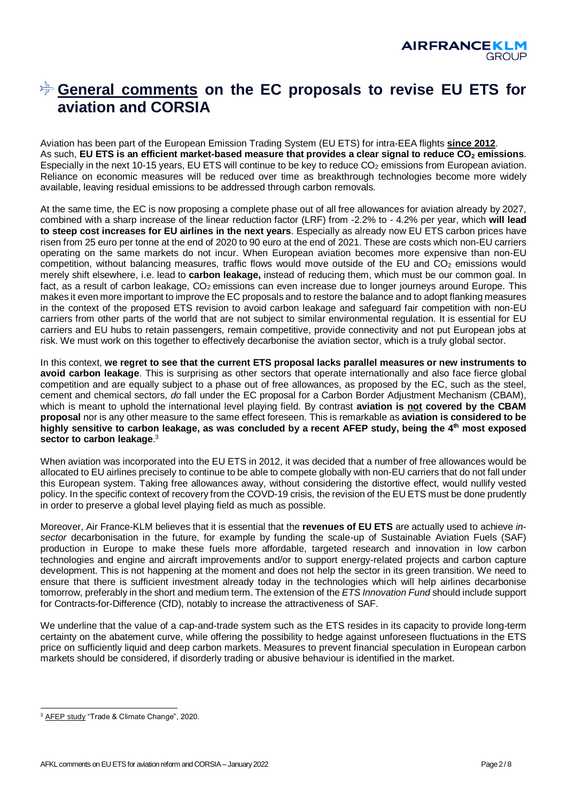## **General comments on the EC proposals to revise EU ETS for aviation and CORSIA**

Aviation has been part of the European Emission Trading System (EU ETS) for intra-EEA flights **since 2012**. As such, **EU ETS is an efficient market-based measure that provides a clear signal to reduce CO<sup>2</sup> emissions**. Especially in the next 10-15 years, EU ETS will continue to be key to reduce CO<sub>2</sub> emissions from European aviation. Reliance on economic measures will be reduced over time as breakthrough technologies become more widely available, leaving residual emissions to be addressed through carbon removals.

At the same time, the EC is now proposing a complete phase out of all free allowances for aviation already by 2027, combined with a sharp increase of the linear reduction factor (LRF) from -2.2% to - 4.2% per year, which **will lead to steep cost increases for EU airlines in the next years**. Especially as already now EU ETS carbon prices have risen from 25 euro per tonne at the end of 2020 to 90 euro at the end of 2021. These are costs which non-EU carriers operating on the same markets do not incur. When European aviation becomes more expensive than non-EU competition, without balancing measures, traffic flows would move outside of the EU and CO<sub>2</sub> emissions would merely shift elsewhere, i.e. lead to **carbon leakage,** instead of reducing them, which must be our common goal. In fact, as a result of carbon leakage, CO<sub>2</sub> emissions can even increase due to longer journeys around Europe. This makes it even more important to improve the EC proposals and to restore the balance and to adopt flanking measures in the context of the proposed ETS revision to avoid carbon leakage and safeguard fair competition with non-EU carriers from other parts of the world that are not subject to similar environmental regulation. It is essential for EU carriers and EU hubs to retain passengers, remain competitive, provide connectivity and not put European jobs at risk. We must work on this together to effectively decarbonise the aviation sector, which is a truly global sector.

In this context, **we regret to see that the current ETS proposal lacks parallel measures or new instruments to avoid carbon leakage**. This is surprising as other sectors that operate internationally and also face fierce global competition and are equally subject to a phase out of free allowances, as proposed by the EC, such as the steel, cement and chemical sectors, *do* fall under the EC proposal for a Carbon Border Adjustment Mechanism (CBAM), which is meant to uphold the international level playing field. By contrast **aviation is not covered by the CBAM proposal** nor is any other measure to the same effect foreseen. This is remarkable as **aviation is considered to be highly sensitive to carbon leakage, as was concluded by a recent AFEP study, being the 4th most exposed sector to carbon leakage**. 3

When aviation was incorporated into the EU ETS in 2012, it was decided that a number of free allowances would be allocated to EU airlines precisely to continue to be able to compete globally with non-EU carriers that do not fall under this European system. Taking free allowances away, without considering the distortive effect, would nullify vested policy. In the specific context of recovery from the COVD-19 crisis, the revision of the EU ETS must be done prudently in order to preserve a global level playing field as much as possible.

Moreover, Air France-KLM believes that it is essential that the **revenues of EU ETS** are actually used to achieve *insector* decarbonisation in the future, for example by funding the scale-up of Sustainable Aviation Fuels (SAF) production in Europe to make these fuels more affordable, targeted research and innovation in low carbon technologies and engine and aircraft improvements and/or to support energy-related projects and carbon capture development. This is not happening at the moment and does not help the sector in its green transition. We need to ensure that there is sufficient investment already today in the technologies which will help airlines decarbonise tomorrow, preferably in the short and medium term. The extension of the *ETS Innovation Fund* should include support for Contracts-for-Difference (CfD), notably to increase the attractiveness of SAF.

We underline that the value of a cap-and-trade system such as the ETS resides in its capacity to provide long-term certainty on the abatement curve, while offering the possibility to hedge against unforeseen fluctuations in the ETS price on sufficiently liquid and deep carbon markets. Measures to prevent financial speculation in European carbon markets should be considered, if disorderly trading or abusive behaviour is identified in the market.

l <sup>3</sup> [AFEP study](https://afep.com/wp-content/uploads/2021/01/Trade-and-Climate-Change-Quantitative-Assessment-of-the-Best-Policy-Tools.pdf) "Trade & Climate Change", 2020.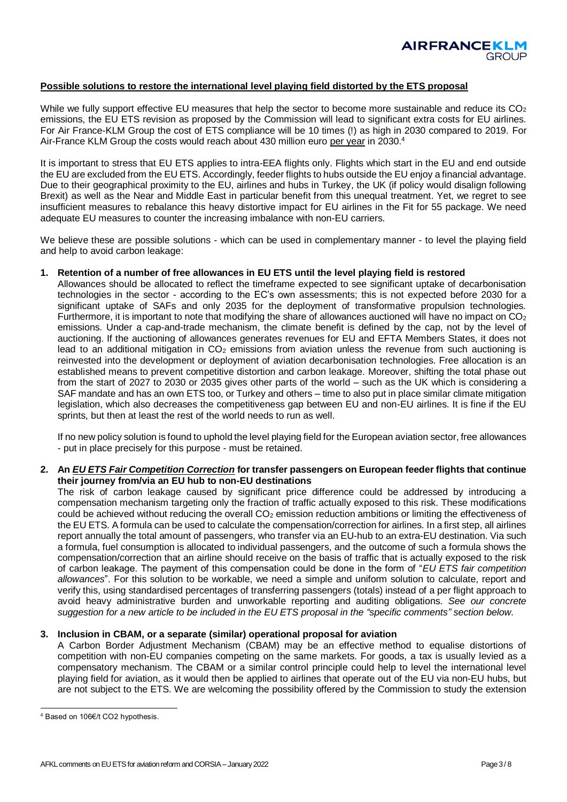#### **Possible solutions to restore the international level playing field distorted by the ETS proposal**

While we fully support effective EU measures that help the sector to become more sustainable and reduce its CO<sub>2</sub> emissions, the EU ETS revision as proposed by the Commission will lead to significant extra costs for EU airlines. For Air France-KLM Group the cost of ETS compliance will be 10 times (!) as high in 2030 compared to 2019. For Air-France KLM Group the costs would reach about 430 million euro per year in 2030.4

It is important to stress that EU ETS applies to intra-EEA flights only. Flights which start in the EU and end outside the EU are excluded from the EU ETS. Accordingly, feeder flights to hubs outside the EU enjoy a financial advantage. Due to their geographical proximity to the EU, airlines and hubs in Turkey, the UK (if policy would disalign following Brexit) as well as the Near and Middle East in particular benefit from this unequal treatment. Yet, we regret to see insufficient measures to rebalance this heavy distortive impact for EU airlines in the Fit for 55 package. We need adequate EU measures to counter the increasing imbalance with non-EU carriers.

We believe these are possible solutions - which can be used in complementary manner - to level the playing field and help to avoid carbon leakage:

#### **1. Retention of a number of free allowances in EU ETS until the level playing field is restored**

Allowances should be allocated to reflect the timeframe expected to see significant uptake of decarbonisation technologies in the sector - according to the EC's own assessments; this is not expected before 2030 for a significant uptake of SAFs and only 2035 for the deployment of transformative propulsion technologies. Furthermore, it is important to note that modifying the share of allowances auctioned will have no impact on  $CO<sub>2</sub>$ emissions. Under a cap-and-trade mechanism, the climate benefit is defined by the cap, not by the level of auctioning. If the auctioning of allowances generates revenues for EU and EFTA Members States, it does not lead to an additional mitigation in  $CO<sub>2</sub>$  emissions from aviation unless the revenue from such auctioning is reinvested into the development or deployment of aviation decarbonisation technologies. Free allocation is an established means to prevent competitive distortion and carbon leakage. Moreover, shifting the total phase out from the start of 2027 to 2030 or 2035 gives other parts of the world – such as the UK which is considering a SAF mandate and has an own ETS too, or Turkey and others – time to also put in place similar climate mitigation legislation, which also decreases the competitiveness gap between EU and non-EU airlines. It is fine if the EU sprints, but then at least the rest of the world needs to run as well.

If no new policy solution is found to uphold the level playing field for the European aviation sector, free allowances - put in place precisely for this purpose - must be retained.

#### **2. An** *EU ETS Fair Competition Correction* **for transfer passengers on European feeder flights that continue their journey from/via an EU hub to non-EU destinations**

The risk of carbon leakage caused by significant price difference could be addressed by introducing a compensation mechanism targeting only the fraction of traffic actually exposed to this risk. These modifications could be achieved without reducing the overall CO<sub>2</sub> emission reduction ambitions or limiting the effectiveness of the EU ETS. A formula can be used to calculate the compensation/correction for airlines. In a first step, all airlines report annually the total amount of passengers, who transfer via an EU-hub to an extra-EU destination. Via such a formula, fuel consumption is allocated to individual passengers, and the outcome of such a formula shows the compensation/correction that an airline should receive on the basis of traffic that is actually exposed to the risk of carbon leakage. The payment of this compensation could be done in the form of "*EU ETS fair competition allowances*". For this solution to be workable, we need a simple and uniform solution to calculate, report and verify this, using standardised percentages of transferring passengers (totals) instead of a per flight approach to avoid heavy administrative burden and unworkable reporting and auditing obligations. *See our concrete suggestion for a new article to be included in the EU ETS proposal in the "specific comments" section below.*

#### **3. Inclusion in CBAM, or a separate (similar) operational proposal for aviation**

A Carbon Border Adjustment Mechanism (CBAM) may be an effective method to equalise distortions of competition with non-EU companies competing on the same markets. For goods, a tax is usually levied as a compensatory mechanism. The CBAM or a similar control principle could help to level the international level playing field for aviation, as it would then be applied to airlines that operate out of the EU via non-EU hubs, but are not subject to the ETS. We are welcoming the possibility offered by the Commission to study the extension

l <sup>4</sup> Based on 106€/t CO2 hypothesis.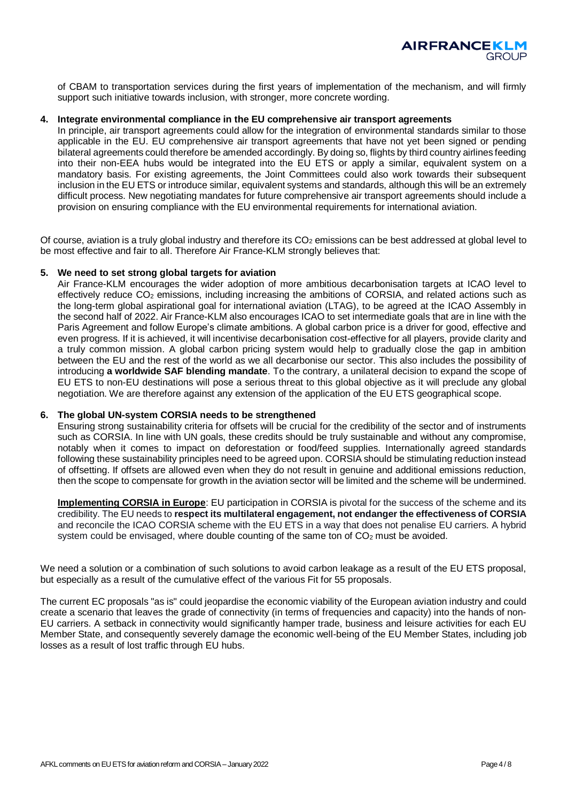

of CBAM to transportation services during the first years of implementation of the mechanism, and will firmly support such initiative towards inclusion, with stronger, more concrete wording.

#### **4. Integrate environmental compliance in the EU comprehensive air transport agreements**

In principle, air transport agreements could allow for the integration of environmental standards similar to those applicable in the EU. EU comprehensive air transport agreements that have not yet been signed or pending bilateral agreements could therefore be amended accordingly. By doing so, flights by third country airlines feeding into their non-EEA hubs would be integrated into the EU ETS or apply a similar, equivalent system on a mandatory basis. For existing agreements, the Joint Committees could also work towards their subsequent inclusion in the EU ETS or introduce similar, equivalent systems and standards, although this will be an extremely difficult process. New negotiating mandates for future comprehensive air transport agreements should include a provision on ensuring compliance with the EU environmental requirements for international aviation.

Of course, aviation is a truly global industry and therefore its  $CO<sub>2</sub>$  emissions can be best addressed at global level to be most effective and fair to all. Therefore Air France-KLM strongly believes that:

#### **5. We need to set strong global targets for aviation**

Air France-KLM encourages the wider adoption of more ambitious decarbonisation targets at ICAO level to effectively reduce CO<sub>2</sub> emissions, including increasing the ambitions of CORSIA, and related actions such as the long-term global aspirational goal for international aviation (LTAG), to be agreed at the ICAO Assembly in the second half of 2022. Air France-KLM also encourages ICAO to set intermediate goals that are in line with the Paris Agreement and follow Europe's climate ambitions. A global carbon price is a driver for good, effective and even progress. If it is achieved, it will incentivise decarbonisation cost-effective for all players, provide clarity and a truly common mission. A global carbon pricing system would help to gradually close the gap in ambition between the EU and the rest of the world as we all decarbonise our sector. This also includes the possibility of introducing **a worldwide SAF blending mandate**. To the contrary, a unilateral decision to expand the scope of EU ETS to non-EU destinations will pose a serious threat to this global objective as it will preclude any global negotiation. We are therefore against any extension of the application of the EU ETS geographical scope.

#### **6. The global UN-system CORSIA needs to be strengthened**

Ensuring strong sustainability criteria for offsets will be crucial for the credibility of the sector and of instruments such as CORSIA. In line with UN goals, these credits should be truly sustainable and without any compromise, notably when it comes to impact on deforestation or food/feed supplies. Internationally agreed standards following these sustainability principles need to be agreed upon. CORSIA should be stimulating reduction instead of offsetting. If offsets are allowed even when they do not result in genuine and additional emissions reduction, then the scope to compensate for growth in the aviation sector will be limited and the scheme will be undermined.

**Implementing CORSIA in Europe**: EU participation in CORSIA is pivotal for the success of the scheme and its credibility. The EU needs to **respect its multilateral engagement, not endanger the effectiveness of CORSIA** and reconcile the ICAO CORSIA scheme with the EU ETS in a way that does not penalise EU carriers. A hybrid system could be envisaged, where double counting of the same ton of  $CO<sub>2</sub>$  must be avoided.

We need a solution or a combination of such solutions to avoid carbon leakage as a result of the EU ETS proposal, but especially as a result of the cumulative effect of the various Fit for 55 proposals.

The current EC proposals "as is" could jeopardise the economic viability of the European aviation industry and could create a scenario that leaves the grade of connectivity (in terms of frequencies and capacity) into the hands of non-EU carriers. A setback in connectivity would significantly hamper trade, business and leisure activities for each EU Member State, and consequently severely damage the economic well-being of the EU Member States, including job losses as a result of lost traffic through EU hubs.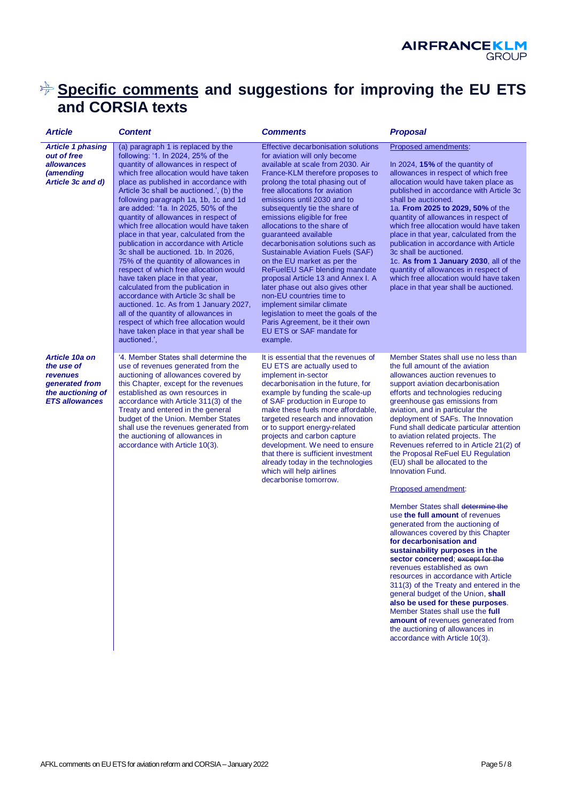

### **Specific comments and suggestions for improving the EU ETS and CORSIA texts**

| <b>Article</b>                                                                                                  | <b>Content</b>                                                                                                                                                                                                                                                                                                                                                                                                                                                                                                                                                                                                                                                                                                                                                                                                                                                                                                                       | <b>Comments</b>                                                                                                                                                                                                                                                                                                                                                                                                                                                                                                                                                                                                                                                                                                                                                                  | <b>Proposal</b>                                                                                                                                                                                                                                                                                                                                                                                                                                                                                                                                                                                                                                                                                                                                                                                                                                                                                                                                                                                                                                                                                               |
|-----------------------------------------------------------------------------------------------------------------|--------------------------------------------------------------------------------------------------------------------------------------------------------------------------------------------------------------------------------------------------------------------------------------------------------------------------------------------------------------------------------------------------------------------------------------------------------------------------------------------------------------------------------------------------------------------------------------------------------------------------------------------------------------------------------------------------------------------------------------------------------------------------------------------------------------------------------------------------------------------------------------------------------------------------------------|----------------------------------------------------------------------------------------------------------------------------------------------------------------------------------------------------------------------------------------------------------------------------------------------------------------------------------------------------------------------------------------------------------------------------------------------------------------------------------------------------------------------------------------------------------------------------------------------------------------------------------------------------------------------------------------------------------------------------------------------------------------------------------|---------------------------------------------------------------------------------------------------------------------------------------------------------------------------------------------------------------------------------------------------------------------------------------------------------------------------------------------------------------------------------------------------------------------------------------------------------------------------------------------------------------------------------------------------------------------------------------------------------------------------------------------------------------------------------------------------------------------------------------------------------------------------------------------------------------------------------------------------------------------------------------------------------------------------------------------------------------------------------------------------------------------------------------------------------------------------------------------------------------|
| <b>Article 1 phasing</b><br>out of free<br><i>allowances</i><br><i>(amending</i><br>Article 3c and d)           | (a) paragraph 1 is replaced by the<br>following: '1. In 2024, 25% of the<br>quantity of allowances in respect of<br>which free allocation would have taken<br>place as published in accordance with<br>Article 3c shall be auctioned.', (b) the<br>following paragraph 1a, 1b, 1c and 1d<br>are added: '1a. In 2025, 50% of the<br>quantity of allowances in respect of<br>which free allocation would have taken<br>place in that year, calculated from the<br>publication in accordance with Article<br>3c shall be auctioned. 1b. In 2026,<br>75% of the quantity of allowances in<br>respect of which free allocation would<br>have taken place in that year,<br>calculated from the publication in<br>accordance with Article 3c shall be<br>auctioned. 1c. As from 1 January 2027,<br>all of the quantity of allowances in<br>respect of which free allocation would<br>have taken place in that year shall be<br>auctioned.', | <b>Effective decarbonisation solutions</b><br>for aviation will only become<br>available at scale from 2030. Air<br>France-KLM therefore proposes to<br>prolong the total phasing out of<br>free allocations for aviation<br>emissions until 2030 and to<br>subsequently tie the share of<br>emissions eligible for free<br>allocations to the share of<br>quaranteed available<br>decarbonisation solutions such as<br>Sustainable Aviation Fuels (SAF)<br>on the EU market as per the<br>ReFuelEU SAF blending mandate<br>proposal Article 13 and Annex I. A<br>later phase out also gives other<br>non-EU countries time to<br>implement similar climate<br>legislation to meet the goals of the<br>Paris Agreement, be it their own<br>EU ETS or SAF mandate for<br>example. | Proposed amendments:<br>In 2024, 15% of the quantity of<br>allowances in respect of which free<br>allocation would have taken place as<br>published in accordance with Article 3c<br>shall be auctioned.<br>1a. From 2025 to 2029, 50% of the<br>quantity of allowances in respect of<br>which free allocation would have taken<br>place in that year, calculated from the<br>publication in accordance with Article<br>3c shall be auctioned.<br>1c. As from 1 January 2030, all of the<br>quantity of allowances in respect of<br>which free allocation would have taken<br>place in that year shall be auctioned.                                                                                                                                                                                                                                                                                                                                                                                                                                                                                          |
| Article 10a on<br>the use of<br><i>revenues</i><br>generated from<br>the auctioning of<br><b>ETS allowances</b> | '4. Member States shall determine the<br>use of revenues generated from the<br>auctioning of allowances covered by<br>this Chapter, except for the revenues<br>established as own resources in<br>accordance with Article 311(3) of the<br>Treaty and entered in the general<br>budget of the Union. Member States<br>shall use the revenues generated from<br>the auctioning of allowances in<br>accordance with Article 10(3).                                                                                                                                                                                                                                                                                                                                                                                                                                                                                                     | It is essential that the revenues of<br>EU ETS are actually used to<br>implement in-sector<br>decarbonisation in the future, for<br>example by funding the scale-up<br>of SAF production in Europe to<br>make these fuels more affordable,<br>targeted research and innovation<br>or to support energy-related<br>projects and carbon capture<br>development. We need to ensure<br>that there is sufficient investment<br>already today in the technologies<br>which will help airlines<br>decarbonise tomorrow.                                                                                                                                                                                                                                                                 | Member States shall use no less than<br>the full amount of the aviation<br>allowances auction revenues to<br>support aviation decarbonisation<br>efforts and technologies reducing<br>greenhouse gas emissions from<br>aviation, and in particular the<br>deployment of SAFs. The Innovation<br>Fund shall dedicate particular attention<br>to aviation related projects. The<br>Revenues referred to in Article 21(2) of<br>the Proposal ReFuel EU Regulation<br>(EU) shall be allocated to the<br><b>Innovation Fund.</b><br>Proposed amendment:<br>Member States shall determine the<br>use the full amount of revenues<br>generated from the auctioning of<br>allowances covered by this Chapter<br>for decarbonisation and<br>sustainability purposes in the<br>sector concerned; except for the<br>revenues established as own<br>resources in accordance with Article<br>311(3) of the Treaty and entered in the<br>general budget of the Union, shall<br>also be used for these purposes.<br>Member States shall use the full<br>amount of revenues generated from<br>the auctioning of allowances in |

accordance with Article 10(3).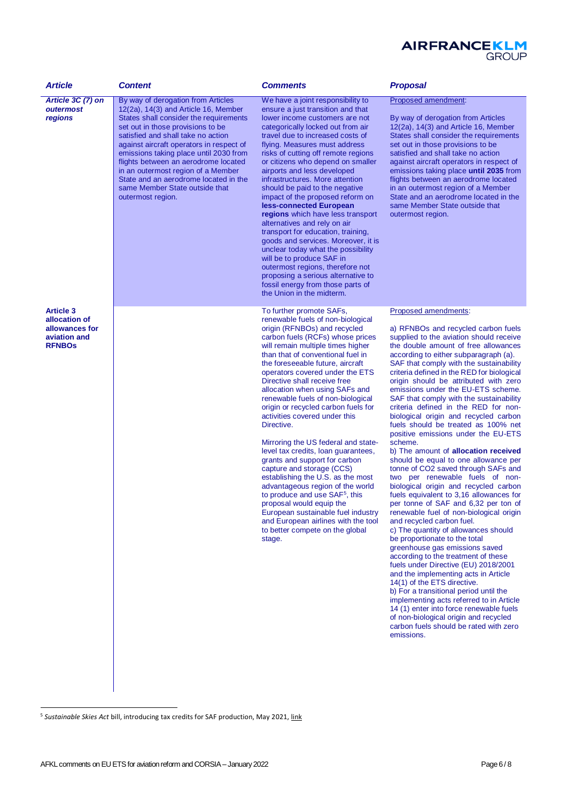

| <b>Article</b>                                                                       | <b>Content</b>                                                                                                                                                                                                                                                                                                                                                                                                                                                           | <b>Comments</b>                                                                                                                                                                                                                                                                                                                                                                                                                                                                                                                                                                                                                                                                                                                                                                                                                                                                                          | <b>Proposal</b>                                                                                                                                                                                                                                                                                                                                                                                                                                                                                                                                                                                                                                                                                                                                                                                                                                                                                                                                                                                                                                                                                                                                                                                                                                                                                                                                                                                                                                       |
|--------------------------------------------------------------------------------------|--------------------------------------------------------------------------------------------------------------------------------------------------------------------------------------------------------------------------------------------------------------------------------------------------------------------------------------------------------------------------------------------------------------------------------------------------------------------------|----------------------------------------------------------------------------------------------------------------------------------------------------------------------------------------------------------------------------------------------------------------------------------------------------------------------------------------------------------------------------------------------------------------------------------------------------------------------------------------------------------------------------------------------------------------------------------------------------------------------------------------------------------------------------------------------------------------------------------------------------------------------------------------------------------------------------------------------------------------------------------------------------------|-------------------------------------------------------------------------------------------------------------------------------------------------------------------------------------------------------------------------------------------------------------------------------------------------------------------------------------------------------------------------------------------------------------------------------------------------------------------------------------------------------------------------------------------------------------------------------------------------------------------------------------------------------------------------------------------------------------------------------------------------------------------------------------------------------------------------------------------------------------------------------------------------------------------------------------------------------------------------------------------------------------------------------------------------------------------------------------------------------------------------------------------------------------------------------------------------------------------------------------------------------------------------------------------------------------------------------------------------------------------------------------------------------------------------------------------------------|
| Article 3C (7) on<br>outermost<br>regions                                            | By way of derogation from Articles<br>$12(2a)$ , $14(3)$ and Article 16, Member<br>States shall consider the requirements<br>set out in those provisions to be<br>satisfied and shall take no action<br>against aircraft operators in respect of<br>emissions taking place until 2030 from<br>flights between an aerodrome located<br>in an outermost region of a Member<br>State and an aerodrome located in the<br>same Member State outside that<br>outermost region. | We have a joint responsibility to<br>ensure a just transition and that<br>lower income customers are not<br>categorically locked out from air<br>travel due to increased costs of<br>flying. Measures must address<br>risks of cutting off remote regions<br>or citizens who depend on smaller<br>airports and less developed<br>infrastructures. More attention<br>should be paid to the negative<br>impact of the proposed reform on<br>less-connected European<br>regions which have less transport<br>alternatives and rely on air<br>transport for education, training,<br>goods and services. Moreover, it is<br>unclear today what the possibility<br>will be to produce SAF in<br>outermost regions, therefore not<br>proposing a serious alternative to<br>fossil energy from those parts of<br>the Union in the midterm.                                                                       | Proposed amendment:<br>By way of derogation from Articles<br>$12(2a)$ , $14(3)$ and Article 16, Member<br>States shall consider the requirements<br>set out in those provisions to be<br>satisfied and shall take no action<br>against aircraft operators in respect of<br>emissions taking place until 2035 from<br>flights between an aerodrome located<br>in an outermost region of a Member<br>State and an aerodrome located in the<br>same Member State outside that<br>outermost region.                                                                                                                                                                                                                                                                                                                                                                                                                                                                                                                                                                                                                                                                                                                                                                                                                                                                                                                                                       |
| <b>Article 3</b><br>allocation of<br>allowances for<br>aviation and<br><b>RFNBOS</b> |                                                                                                                                                                                                                                                                                                                                                                                                                                                                          | To further promote SAFs,<br>renewable fuels of non-biological<br>origin (RFNBOs) and recycled<br>carbon fuels (RCFs) whose prices<br>will remain multiple times higher<br>than that of conventional fuel in<br>the foreseeable future, aircraft<br>operators covered under the ETS<br>Directive shall receive free<br>allocation when using SAFs and<br>renewable fuels of non-biological<br>origin or recycled carbon fuels for<br>activities covered under this<br>Directive.<br>Mirroring the US federal and state-<br>level tax credits, loan quarantees,<br>grants and support for carbon<br>capture and storage (CCS)<br>establishing the U.S. as the most<br>advantageous region of the world<br>to produce and use SAF <sup>5</sup> , this<br>proposal would equip the<br>European sustainable fuel industry<br>and European airlines with the tool<br>to better compete on the global<br>stage. | Proposed amendments:<br>a) RFNBOs and recycled carbon fuels<br>supplied to the aviation should receive<br>the double amount of free allowances<br>according to either subparagraph (a).<br>SAF that comply with the sustainability<br>criteria defined in the RED for biological<br>origin should be attributed with zero<br>emissions under the EU-ETS scheme.<br>SAF that comply with the sustainability<br>criteria defined in the RED for non-<br>biological origin and recycled carbon<br>fuels should be treated as 100% net<br>positive emissions under the EU-ETS<br>scheme.<br>b) The amount of allocation received<br>should be equal to one allowance per<br>tonne of CO2 saved through SAFs and<br>two per renewable fuels of non-<br>biological origin and recycled carbon<br>fuels equivalent to 3,16 allowances for<br>per tonne of SAF and 6,32 per ton of<br>renewable fuel of non-biological origin<br>and recycled carbon fuel.<br>c) The quantity of allowances should<br>be proportionate to the total<br>greenhouse gas emissions saved<br>according to the treatment of these<br>fuels under Directive (EU) 2018/2001<br>and the implementing acts in Article<br>14(1) of the ETS directive.<br>b) For a transitional period until the<br>implementing acts referred to in Article<br>14 (1) enter into force renewable fuels<br>of non-biological origin and recycled<br>carbon fuels should be rated with zero<br>emissions. |

l

<sup>&</sup>lt;sup>5</sup> Sustainable Skies Act bill, introducing tax credits for SAF production, May 2021, <u>link</u>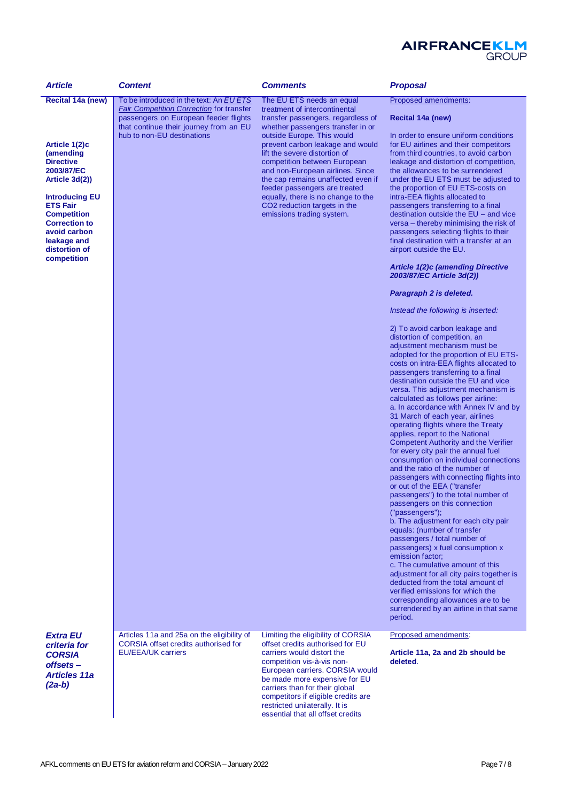

| <b>Article</b>                                                                                                                                                                                                                          | <b>Content</b>                                                                                                                     | <b>Comments</b>                                                                                                                                                                                                                                                                                                                                        | <b>Proposal</b>                                                                                                                                                                                                                                                                                                                                                                                                                                                                                                                                                                                                                                                                                                                                                                                                                                                                                                                                                                                                                                                                                                                                                                                                                                               |
|-----------------------------------------------------------------------------------------------------------------------------------------------------------------------------------------------------------------------------------------|------------------------------------------------------------------------------------------------------------------------------------|--------------------------------------------------------------------------------------------------------------------------------------------------------------------------------------------------------------------------------------------------------------------------------------------------------------------------------------------------------|---------------------------------------------------------------------------------------------------------------------------------------------------------------------------------------------------------------------------------------------------------------------------------------------------------------------------------------------------------------------------------------------------------------------------------------------------------------------------------------------------------------------------------------------------------------------------------------------------------------------------------------------------------------------------------------------------------------------------------------------------------------------------------------------------------------------------------------------------------------------------------------------------------------------------------------------------------------------------------------------------------------------------------------------------------------------------------------------------------------------------------------------------------------------------------------------------------------------------------------------------------------|
| Recital 14a (new)                                                                                                                                                                                                                       | To be introduced in the text: An EU ETS                                                                                            | The EU ETS needs an equal                                                                                                                                                                                                                                                                                                                              | Proposed amendments:                                                                                                                                                                                                                                                                                                                                                                                                                                                                                                                                                                                                                                                                                                                                                                                                                                                                                                                                                                                                                                                                                                                                                                                                                                          |
|                                                                                                                                                                                                                                         | <b>Fair Competition Correction for transfer</b><br>passengers on European feeder flights<br>that continue their journey from an EU | treatment of intercontinental<br>transfer passengers, regardless of<br>whether passengers transfer in or                                                                                                                                                                                                                                               | Recital 14a (new)                                                                                                                                                                                                                                                                                                                                                                                                                                                                                                                                                                                                                                                                                                                                                                                                                                                                                                                                                                                                                                                                                                                                                                                                                                             |
| Article 1(2)c<br>(amending<br><b>Directive</b><br>2003/87/EC<br>Article 3d(2))<br><b>Introducing EU</b><br><b>ETS Fair</b><br><b>Competition</b><br><b>Correction to</b><br>avoid carbon<br>leakage and<br>distortion of<br>competition | hub to non-EU destinations                                                                                                         | outside Europe. This would<br>prevent carbon leakage and would<br>lift the severe distortion of<br>competition between European<br>and non-European airlines. Since<br>the cap remains unaffected even if<br>feeder passengers are treated<br>equally, there is no change to the<br>CO2 reduction targets in the<br>emissions trading system.          | In order to ensure uniform conditions<br>for EU airlines and their competitors<br>from third countries, to avoid carbon<br>leakage and distortion of competition,<br>the allowances to be surrendered<br>under the EU ETS must be adjusted to<br>the proportion of EU ETS-costs on<br>intra-EEA flights allocated to<br>passengers transferring to a final<br>destination outside the EU - and vice<br>versa - thereby minimising the risk of<br>passengers selecting flights to their<br>final destination with a transfer at an<br>airport outside the EU.<br><b>Article 1(2)c (amending Directive</b><br>2003/87/EC Article 3d(2))                                                                                                                                                                                                                                                                                                                                                                                                                                                                                                                                                                                                                         |
|                                                                                                                                                                                                                                         |                                                                                                                                    |                                                                                                                                                                                                                                                                                                                                                        | Paragraph 2 is deleted.                                                                                                                                                                                                                                                                                                                                                                                                                                                                                                                                                                                                                                                                                                                                                                                                                                                                                                                                                                                                                                                                                                                                                                                                                                       |
|                                                                                                                                                                                                                                         |                                                                                                                                    |                                                                                                                                                                                                                                                                                                                                                        | Instead the following is inserted:                                                                                                                                                                                                                                                                                                                                                                                                                                                                                                                                                                                                                                                                                                                                                                                                                                                                                                                                                                                                                                                                                                                                                                                                                            |
|                                                                                                                                                                                                                                         |                                                                                                                                    |                                                                                                                                                                                                                                                                                                                                                        | 2) To avoid carbon leakage and<br>distortion of competition, an<br>adjustment mechanism must be<br>adopted for the proportion of EU ETS-<br>costs on intra-EEA flights allocated to<br>passengers transferring to a final<br>destination outside the EU and vice<br>versa. This adjustment mechanism is<br>calculated as follows per airline:<br>a. In accordance with Annex IV and by<br>31 March of each year, airlines<br>operating flights where the Treaty<br>applies, report to the National<br><b>Competent Authority and the Verifier</b><br>for every city pair the annual fuel<br>consumption on individual connections<br>and the ratio of the number of<br>passengers with connecting flights into<br>or out of the EEA ("transfer<br>passengers") to the total number of<br>passengers on this connection<br>("passengers");<br>b. The adjustment for each city pair<br>equals: (number of transfer<br>passengers / total number of<br>passengers) x fuel consumption x<br>emission factor;<br>c. The cumulative amount of this<br>adjustment for all city pairs together is<br>deducted from the total amount of<br>verified emissions for which the<br>corresponding allowances are to be<br>surrendered by an airline in that same<br>period. |
| <b>Extra EU</b><br>criteria for<br><b>CORSIA</b><br>offsets-<br><b>Articles 11a</b><br>$(2a-b)$                                                                                                                                         | Articles 11a and 25a on the eligibility of<br><b>CORSIA</b> offset credits authorised for<br><b>EU/EEA/UK carriers</b>             | Limiting the eligibility of CORSIA<br>offset credits authorised for EU<br>carriers would distort the<br>competition vis-à-vis non-<br>European carriers. CORSIA would<br>be made more expensive for EU<br>carriers than for their global<br>competitors if eligible credits are<br>restricted unilaterally. It is<br>essential that all offset credits | Proposed amendments:<br>Article 11a, 2a and 2b should be<br>deleted.                                                                                                                                                                                                                                                                                                                                                                                                                                                                                                                                                                                                                                                                                                                                                                                                                                                                                                                                                                                                                                                                                                                                                                                          |